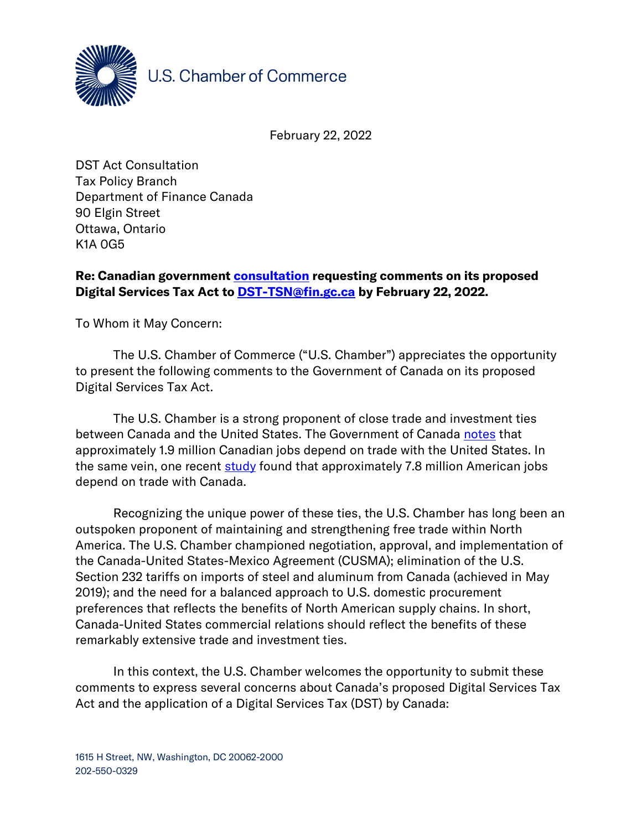

U.S. Chamber of Commerce

February 22, 2022

DST Act Consultation Tax Policy Branch Department of Finance Canada 90 Elgin Street Ottawa, Ontario K1A 0G5

## Re: Canadian government **consultation** requesting comments on its proposed Digital Services Tax Act to **DST-TSN@fin.gc.ca** by February 22, 2022.

To Whom it May Concern:

The U.S. Chamber of Commerce ("U.S. Chamber") appreciates the opportunity to present the following comments to the Government of Canada on its proposed Digital Services Tax Act.

The U.S. Chamber is a strong proponent of close trade and investment ties between Canada and the United States. The Government of Canada [notes](https://www.international.gc.ca/trade-commerce/consultations/nafta-alena/toolkit-outils.aspx?lang=eng) that approximately 1.9 million Canadian jobs depend on trade with the United States. In the same vein, one recent [study](https://tradepartnership.com/wp-content/uploads/2020/10/Trade_and_American_Jobs_2020.pdf) found that approximately 7.8 million American jobs depend on trade with Canada.

Recognizing the unique power of these ties, the U.S. Chamber has long been an outspoken proponent of maintaining and strengthening free trade within North America. The U.S. Chamber championed negotiation, approval, and implementation of the Canada-United States-Mexico Agreement (CUSMA); elimination of the U.S. Section 232 tariffs on imports of steel and aluminum from Canada (achieved in May 2019); and the need for a balanced approach to U.S. domestic procurement preferences that reflects the benefits of North American supply chains. In short, Canada-United States commercial relations should reflect the benefits of these remarkably extensive trade and investment ties.

In this context, the U.S. Chamber welcomes the opportunity to submit these comments to express several concerns about Canada's proposed Digital Services Tax Act and the application of a Digital Services Tax (DST) by Canada: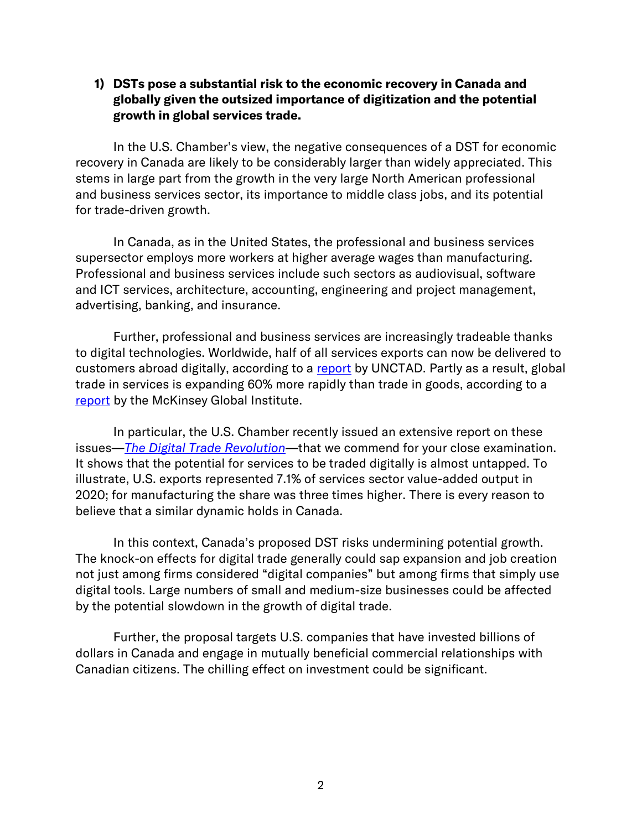## 1) DSTs pose a substantial risk to the economic recovery in Canada and globally given the outsized importance of digitization and the potential growth in global services trade.

In the U.S. Chamber's view, the negative consequences of a DST for economic recovery in Canada are likely to be considerably larger than widely appreciated. This stems in large part from the growth in the very large North American professional and business services sector, its importance to middle class jobs, and its potential for trade-driven growth.

In Canada, as in the United States, the professional and business services supersector employs more workers at higher average wages than manufacturing. Professional and business services include such sectors as audiovisual, software and ICT services, architecture, accounting, engineering and project management, advertising, banking, and insurance.

Further, professional and business services are increasingly tradeable thanks to digital technologies. Worldwide, half of all services exports can now be delivered to customers abroad digitally, according to a [report](https://unctad.org/en/PublicationsLibrary/der2019_overview_en.pdf) by UNCTAD. Partly as a result, global trade in services is expanding 60% more rapidly than trade in goods, according to a [report](https://www.mckinsey.com/~/media/mckinsey/featured%20insights/innovation/globalization%20in%20transition%20the%20future%20of%20trade%20and%20value%20chains/mgi-globalization%20in%20transition-the-future-of-trade-and-value-chains-full-report.pdf) by the McKinsey Global Institute.

In particular, the U.S. Chamber recently issued an extensive report on these issues—*[The Digital Trade Revolution](https://www.uschamber.com/international/trade-agreements/the-digital-trade-revolution-how-u-s-workers-and-companies-can-benefit-from-a-digital-trade-agreement)*—that we commend for your close examination. It shows that the potential for services to be traded digitally is almost untapped. To illustrate, U.S. exports represented 7.1% of services sector value-added output in 2020; for manufacturing the share was three times higher. There is every reason to believe that a similar dynamic holds in Canada.

In this context, Canada's proposed DST risks undermining potential growth. The knock-on effects for digital trade generally could sap expansion and job creation not just among firms considered "digital companies" but among firms that simply use digital tools. Large numbers of small and medium-size businesses could be affected by the potential slowdown in the growth of digital trade.

Further, the proposal targets U.S. companies that have invested billions of dollars in Canada and engage in mutually beneficial commercial relationships with Canadian citizens. The chilling effect on investment could be significant.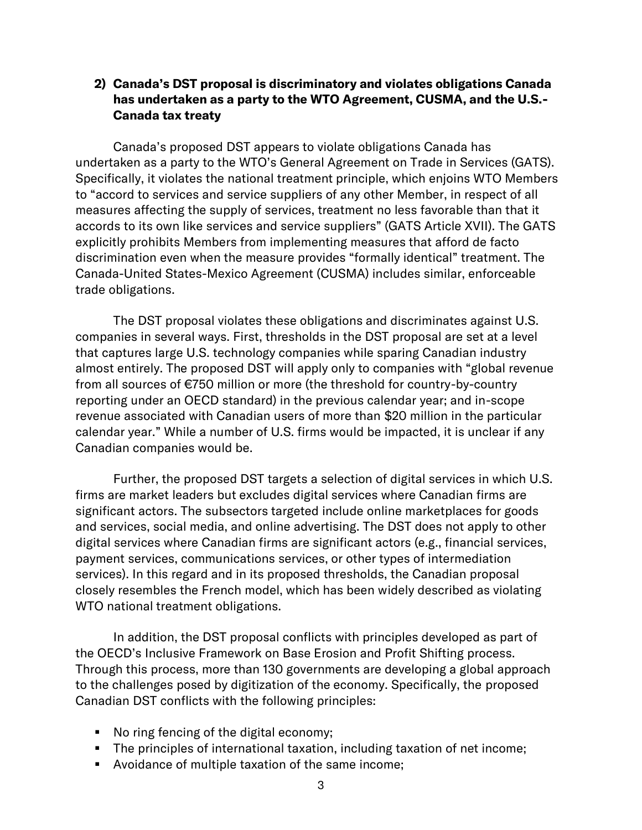## 2) Canada's DST proposal is discriminatory and violates obligations Canada has undertaken as a party to the WTO Agreement, CUSMA, and the U.S.- Canada tax treaty

Canada's proposed DST appears to violate obligations Canada has undertaken as a party to the WTO's General Agreement on Trade in Services (GATS). Specifically, it violates the national treatment principle, which enjoins WTO Members to "accord to services and service suppliers of any other Member, in respect of all measures affecting the supply of services, treatment no less favorable than that it accords to its own like services and service suppliers" (GATS Article XVII). The GATS explicitly prohibits Members from implementing measures that afford de facto discrimination even when the measure provides "formally identical" treatment. The Canada-United States-Mexico Agreement (CUSMA) includes similar, enforceable trade obligations.

The DST proposal violates these obligations and discriminates against U.S. companies in several ways. First, thresholds in the DST proposal are set at a level that captures large U.S. technology companies while sparing Canadian industry almost entirely. The proposed DST will apply only to companies with "global revenue from all sources of €750 million or more (the threshold for country-by-country reporting under an OECD standard) in the previous calendar year; and in-scope revenue associated with Canadian users of more than \$20 million in the particular calendar year." While a number of U.S. firms would be impacted, it is unclear if any Canadian companies would be.

Further, the proposed DST targets a selection of digital services in which U.S. firms are market leaders but excludes digital services where Canadian firms are significant actors. The subsectors targeted include online marketplaces for goods and services, social media, and online advertising. The DST does not apply to other digital services where Canadian firms are significant actors (e.g., financial services, payment services, communications services, or other types of intermediation services). In this regard and in its proposed thresholds, the Canadian proposal closely resembles the French model, which has been widely described as violating WTO national treatment obligations.

In addition, the DST proposal conflicts with principles developed as part of the OECD's Inclusive Framework on Base Erosion and Profit Shifting process. Through this process, more than 130 governments are developing a global approach to the challenges posed by digitization of the economy. Specifically, the proposed Canadian DST conflicts with the following principles:

- No ring fencing of the digital economy;
- The principles of international taxation, including taxation of net income;
- Avoidance of multiple taxation of the same income;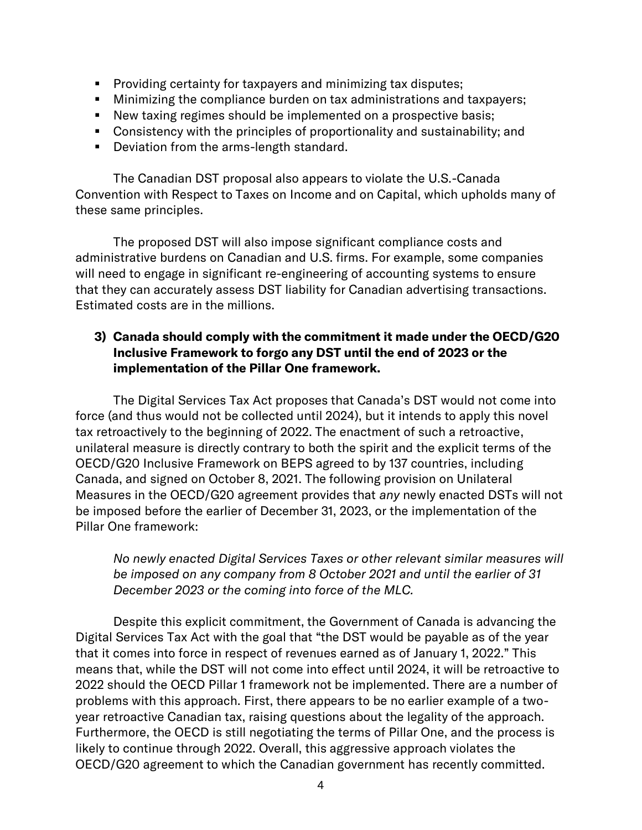- Providing certainty for taxpayers and minimizing tax disputes;
- Minimizing the compliance burden on tax administrations and taxpayers;
- New taxing regimes should be implemented on a prospective basis;
- Consistency with the principles of proportionality and sustainability; and
- Deviation from the arms-length standard.

The Canadian DST proposal also appears to violate the U.S.-Canada Convention with Respect to Taxes on Income and on Capital, which upholds many of these same principles.

The proposed DST will also impose significant compliance costs and administrative burdens on Canadian and U.S. firms. For example, some companies will need to engage in significant re-engineering of accounting systems to ensure that they can accurately assess DST liability for Canadian advertising transactions. Estimated costs are in the millions.

## 3) Canada should comply with the commitment it made under the OECD/G20 Inclusive Framework to forgo any DST until the end of 2023 or the implementation of the Pillar One framework.

The Digital Services Tax Act proposes that Canada's DST would not come into force (and thus would not be collected until 2024), but it intends to apply this novel tax retroactively to the beginning of 2022. The enactment of such a retroactive, unilateral measure is directly contrary to both the spirit and the explicit terms of the OECD/G20 Inclusive Framework on BEPS agreed to by 137 countries, including Canada, and signed on October 8, 2021. The following provision on Unilateral Measures in the OECD/G20 agreement provides that *any* newly enacted DSTs will not be imposed before the earlier of December 31, 2023, or the implementation of the Pillar One framework:

*No newly enacted Digital Services Taxes or other relevant similar measures will be imposed on any company from 8 October 2021 and until the earlier of 31 December 2023 or the coming into force of the MLC.*

Despite this explicit commitment, the Government of Canada is advancing the Digital Services Tax Act with the goal that "the DST would be payable as of the year that it comes into force in respect of revenues earned as of January 1, 2022." This means that, while the DST will not come into effect until 2024, it will be retroactive to 2022 should the OECD Pillar 1 framework not be implemented. There are a number of problems with this approach. First, there appears to be no earlier example of a twoyear retroactive Canadian tax, raising questions about the legality of the approach. Furthermore, the OECD is still negotiating the terms of Pillar One, and the process is likely to continue through 2022. Overall, this aggressive approach violates the OECD/G20 agreement to which the Canadian government has recently committed.